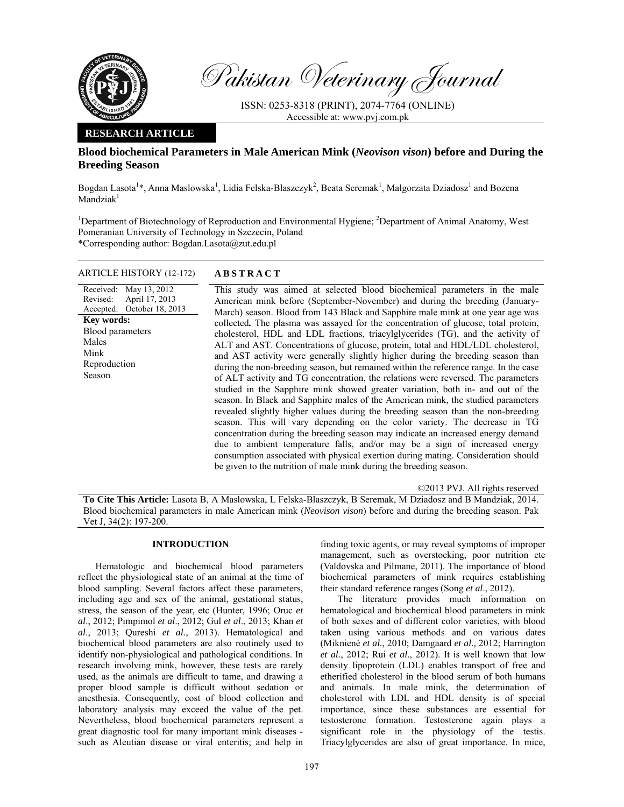

Pakistan Veterinary Journal

ISSN: 0253-8318 (PRINT), 2074-7764 (ONLINE) Accessible at: www.pvj.com.pk

## **RESEARCH ARTICLE**

# **Blood biochemical Parameters in Male American Mink (***Neovison vison***) before and During the Breeding Season**

Bogdan Lasota<sup>1</sup>\*, Anna Maslowska<sup>1</sup>, Lidia Felska-Blaszczyk<sup>2</sup>, Beata Seremak<sup>1</sup>, Malgorzata Dziadosz<sup>1</sup> and Bozena  $M$ andzia $k<sup>1</sup>$ 

<sup>1</sup>Department of Biotechnology of Reproduction and Environmental Hygiene; <sup>2</sup>Department of Animal Anatomy, West Pomeranian University of Technology in Szczecin, Poland \*Corresponding author: Bogdan.Lasota@zut.edu.pl

### ARTICLE HISTORY (12-172) **ABSTRACT**

Received: May 13, 2012 Revised: Accepted: April 17, 2013 October 18, 2013 **Key words:**  Blood parameters Males Mink Reproduction Season

 This study was aimed at selected blood biochemical parameters in the male American mink before (September-November) and during the breeding (January-March) season. Blood from 143 Black and Sapphire male mink at one year age was collected*.* The plasma was assayed for the concentration of glucose, total protein, cholesterol, HDL and LDL fractions, triacylglycerides (TG), and the activity of ALT and AST. Concentrations of glucose, protein, total and HDL/LDL cholesterol, and AST activity were generally slightly higher during the breeding season than during the non-breeding season, but remained within the reference range. In the case of ALT activity and TG concentration, the relations were reversed. The parameters studied in the Sapphire mink showed greater variation, both in- and out of the season. In Black and Sapphire males of the American mink, the studied parameters revealed slightly higher values during the breeding season than the non-breeding

season. This will vary depending on the color variety. The decrease in TG concentration during the breeding season may indicate an increased energy demand due to ambient temperature falls, and/or may be a sign of increased energy consumption associated with physical exertion during mating. Consideration should be given to the nutrition of male mink during the breeding season.

©2013 PVJ. All rights reserved

**To Cite This Article:** Lasota B, A Maslowska, L Felska-Blaszczyk, B Seremak, M Dziadosz and B Mandziak, 2014. Blood biochemical parameters in male American mink (*Neovison vison*) before and during the breeding season. Pak Vet J, 34(2): 197-200.

## **INTRODUCTION**

Hematologic and biochemical blood parameters reflect the physiological state of an animal at the time of blood sampling. Several factors affect these parameters, including age and sex of the animal, gestational status, stress, the season of the year, etc (Hunter, 1996; Oruc *et al*., 2012; Pimpimol *et al*., 2012; Gul *et al*., 2013; Khan *et al*., 2013; Qureshi *et al*., 2013). Hematological and biochemical blood parameters are also routinely used to identify non-physiological and pathological conditions. In research involving mink, however, these tests are rarely used, as the animals are difficult to tame, and drawing a proper blood sample is difficult without sedation or anesthesia. Consequently, cost of blood collection and laboratory analysis may exceed the value of the pet. Nevertheless, blood biochemical parameters represent a great diagnostic tool for many important mink diseases such as Aleutian disease or viral enteritis; and help in

finding toxic agents, or may reveal symptoms of improper management, such as overstocking, poor nutrition etc (Valdovska and Pilmane, 2011). The importance of blood biochemical parameters of mink requires establishing their standard reference ranges (Song *et al*., 2012).

The literature provides much information on hematological and biochemical blood parameters in mink of both sexes and of different color varieties, with blood taken using various methods and on various dates (Miknienė *et al.*, 2010; Damgaard *et al.,* 2012; Harrington *et al.*, 2012; Rui *et al.*, 2012). It is well known that low density lipoprotein (LDL) enables transport of free and etherified cholesterol in the blood serum of both humans and animals. In male mink, the determination of cholesterol with LDL and HDL density is of special importance, since these substances are essential for testosterone formation. Testosterone again plays a significant role in the physiology of the testis. Triacylglycerides are also of great importance. In mice,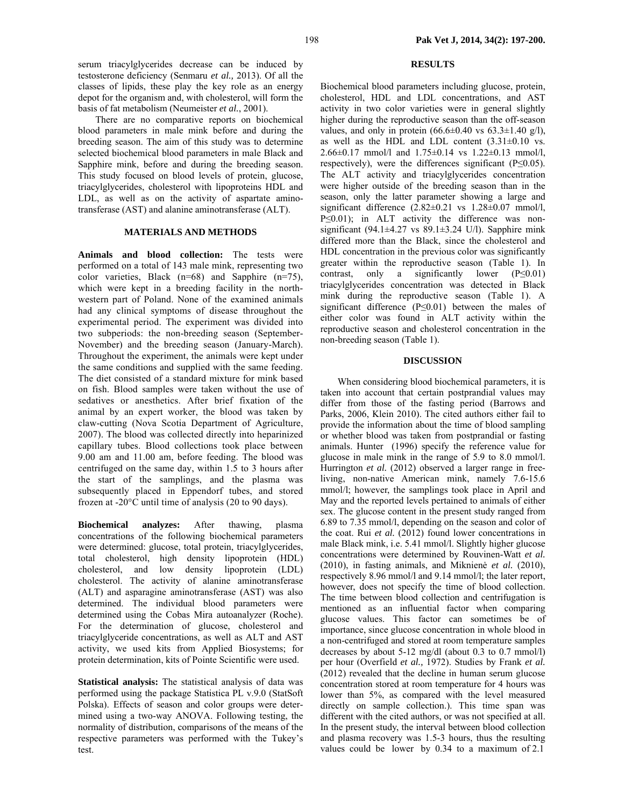serum triacylglycerides decrease can be induced by testosterone deficiency (Senmaru *et al.,* 2013). Of all the classes of lipids, these play the key role as an energy depot for the organism and, with cholesterol, will form the basis of fat metabolism (Neumeister *et al.*, 2001).

There are no comparative reports on biochemical blood parameters in male mink before and during the breeding season. The aim of this study was to determine selected biochemical blood parameters in male Black and Sapphire mink, before and during the breeding season. This study focused on blood levels of protein, glucose, triacylglycerides, cholesterol with lipoproteins HDL and LDL, as well as on the activity of aspartate aminotransferase (AST) and alanine aminotransferase (ALT).

### **MATERIALS AND METHODS**

**Animals and blood collection:** The tests were performed on a total of 143 male mink, representing two color varieties, Black (n=68) and Sapphire (n=75), which were kept in a breeding facility in the northwestern part of Poland. None of the examined animals had any clinical symptoms of disease throughout the experimental period. The experiment was divided into two subperiods: the non-breeding season (September-November) and the breeding season (January-March). Throughout the experiment, the animals were kept under the same conditions and supplied with the same feeding. The diet consisted of a standard mixture for mink based on fish. Blood samples were taken without the use of sedatives or anesthetics. After brief fixation of the animal by an expert worker, the blood was taken by claw-cutting (Nova Scotia Department of Agriculture, 2007). The blood was collected directly into heparinized capillary tubes. Blood collections took place between 9.00 am and 11.00 am, before feeding. The blood was centrifuged on the same day, within 1.5 to 3 hours after the start of the samplings, and the plasma was subsequently placed in Eppendorf tubes, and stored frozen at -20°C until time of analysis (20 to 90 days).

**Biochemical analyzes:** After thawing, plasma concentrations of the following biochemical parameters were determined: glucose, total protein, triacylglycerides, total cholesterol, high density lipoprotein (HDL) cholesterol, and low density lipoprotein (LDL) cholesterol. The activity of alanine aminotransferase (ALT) and asparagine aminotransferase (AST) was also determined. The individual blood parameters were determined using the Cobas Mira autoanalyzer (Roche). For the determination of glucose, cholesterol and triacylglyceride concentrations, as well as ALT and AST activity, we used kits from Applied Biosystems; for protein determination, kits of Pointe Scientific were used.

**Statistical analysis:** The statistical analysis of data was performed using the package Statistica PL v.9.0 (StatSoft Polska). Effects of season and color groups were determined using a two-way ANOVA. Following testing, the normality of distribution, comparisons of the means of the respective parameters was performed with the Tukey's test.

### **RESULTS**

Biochemical blood parameters including glucose, protein, cholesterol, HDL and LDL concentrations, and AST activity in two color varieties were in general slightly higher during the reproductive season than the off-season values, and only in protein  $(66.6\pm0.40 \text{ vs } 63.3\pm1.40 \text{ g/l})$ , as well as the HDL and LDL content  $(3.31\pm0.10 \text{ vs.}$ 2.66±0.17 mmol/l and 1.75±0.14 vs 1.22±0.13 mmol/l, respectively), were the differences significant (P≤0.05). The ALT activity and triacylglycerides concentration were higher outside of the breeding season than in the season, only the latter parameter showing a large and significant difference  $(2.82\pm0.21 \text{ vs } 1.28\pm0.07 \text{ mmol/l})$ , P≤0.01); in ALT activity the difference was nonsignificant (94.1 $\pm$ 4.27 vs 89.1 $\pm$ 3.24 U/l). Sapphire mink differed more than the Black, since the cholesterol and HDL concentration in the previous color was significantly greater within the reproductive season (Table 1). In contrast, only a significantly lower (P≤0.01) triacylglycerides concentration was detected in Black mink during the reproductive season (Table 1). A significant difference  $(P \le 0.01)$  between the males of either color was found in ALT activity within the reproductive season and cholesterol concentration in the non-breeding season (Table 1).

#### **DISCUSSION**

When considering blood biochemical parameters, it is taken into account that certain postprandial values may differ from those of the fasting period (Barrows and Parks, 2006, Klein 2010). The cited authors either fail to provide the information about the time of blood sampling or whether blood was taken from postprandial or fasting animals. Hunter (1996) specify the reference value for glucose in male mink in the range of 5.9 to 8.0 mmol/l. Hurrington *et al.* (2012) observed a larger range in freeliving, non-native American mink, namely 7.6-15.6 mmol/l; however, the samplings took place in April and May and the reported levels pertained to animals of either sex. The glucose content in the present study ranged from 6.89 to 7.35 mmol/l, depending on the season and color of the coat. Rui *et al.* (2012) found lower concentrations in male Black mink, i.e. 5.41 mmol/l. Slightly higher glucose concentrations were determined by Rouvinen-Watt *et al.* (2010), in fasting animals, and Miknienė *et al.* (2010), respectively 8.96 mmol/l and 9.14 mmol/l; the later report, however, does not specify the time of blood collection. The time between blood collection and centrifugation is mentioned as an influential factor when comparing glucose values. This factor can sometimes be of importance, since glucose concentration in whole blood in a non-centrifuged and stored at room temperature samples decreases by about 5-12 mg/dl (about 0.3 to 0.7 mmol/l) per hour (Overfield *et al.,* 1972). Studies by Frank *et al.* (2012) revealed that the decline in human serum glucose concentration stored at room temperature for 4 hours was lower than 5%, as compared with the level measured directly on sample collection.). This time span was different with the cited authors, or was not specified at all. In the present study, the interval between blood collection and plasma recovery was 1.5-3 hours, thus the resulting values could be lower by 0.34 to a maximum of 2.1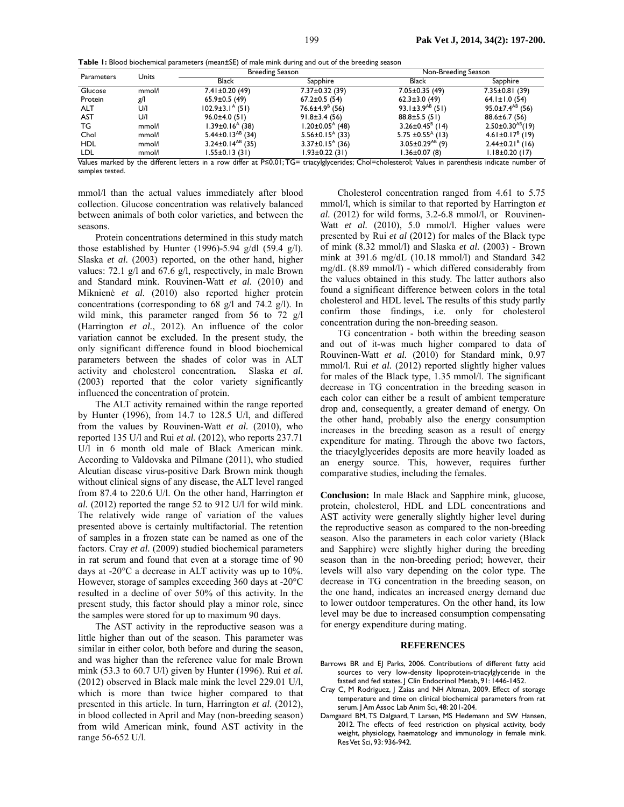**Table 1:** Blood biochemical parameters (mean±SE) of male mink during and out of the breeding season

| Parameters                 | <b>Units</b>             | <b>Breeding Season</b>                                  |                                             | Non-Breeding Season               |                                   |
|----------------------------|--------------------------|---------------------------------------------------------|---------------------------------------------|-----------------------------------|-----------------------------------|
|                            |                          | <b>Black</b>                                            | Sapphire                                    | <b>Black</b>                      | Sapphire                          |
| Glucose                    | mmol/l                   | $7.41 \pm 0.20$ (49)                                    | 7.37±0.32 (39)                              | $7.05 \pm 0.35$ (49)              | $7.35 \pm 0.81$ (39)              |
| Protein                    | g/l                      | $65.9 \pm 0.5$ (49)                                     | $67.2 \pm 0.5$ (54)                         | $62.3 \pm 3.0$ (49)               | $64.1 \pm 1.0$ (54)               |
| <b>ALT</b>                 | U/I                      | $102.9 \pm 3.1^{\circ}$ (51)                            | $76.6 \pm 4.9$ <sup>8</sup> (56)            | $93.1 \pm 3.9^{AB}$ (51)          | $95.0 \pm 7.4^{AB}$ (56)          |
| <b>AST</b>                 | U/I                      | $96.0 \pm 4.0(51)$                                      | $91.8 \pm 3.4(56)$                          | $88.8 \pm 5.5(51)$                | $88.6 \pm 6.7(56)$                |
| ТG                         | mmol/l                   | 1.39±0.16 <sup>A</sup> (38)                             | l.20±0.05 <sup>A</sup> (48)                 | $3.26 \pm 0.45^B$ (14)            | $2.50\pm0.30^{AB}(19)$            |
| Chol                       | mmol/l                   | 5.44±0.13 <sup>AB</sup> (34)                            | $5.56 \pm 0.15$ <sup>A</sup> (33)           | $5.75 \pm 0.55$ <sup>A</sup> (13) | $4.61 \pm 0.17$ <sup>B</sup> (19) |
| <b>HDL</b>                 | mmol/l                   | $3.24 \pm 0.14^{AB}$ (35)                               | $3.37\pm0.15^{A}$ (36)                      | $3.05 \pm 0.29$ <sup>AB</sup> (9) | $2.44\pm0.21^{8}$ (16)            |
| LDL<br>$\overline{\cdots}$ | mmol/l<br>$\overline{a}$ | $1.55 \pm 0.13(31)$<br>1.00<br><b>B</b> 28 81 <b>PM</b> | 1.93±0.22 (31)<br>$\sim$ $\sim$<br>. .<br>. | $1.36 \pm 0.07$ (8)<br>.          | $1.18 \pm 0.20$ (17)<br>.         |

Values marked by the different letters in a row differ at P≤0.01; TG= triacylglycerides; Chol=cholesterol; Values in parenthesis indicate number of samples tested.

mmol/l than the actual values immediately after blood collection. Glucose concentration was relatively balanced between animals of both color varieties, and between the seasons.

Protein concentrations determined in this study match those established by Hunter (1996)-5.94 g/dl (59.4 g/l). Slaska *et al.* (2003) reported, on the other hand, higher values: 72.1 g/l and 67.6 g/l, respectively, in male Brown and Standard mink. Rouvinen-Watt *et al.* (2010) and Miknienė *et al.* (2010) also reported higher protein concentrations (corresponding to 68 g/l and 74.2 g/l). In wild mink, this parameter ranged from 56 to 72 g/l (Harrington *et al.*, 2012). An influence of the color variation cannot be excluded. In the present study, the only significant difference found in blood biochemical parameters between the shades of color was in ALT activity and cholesterol concentration*.* Slaska *et al.* (2003) reported that the color variety significantly influenced the concentration of protein.

The ALT activity remained within the range reported by Hunter (1996), from 14.7 to 128.5 U/l, and differed from the values by Rouvinen-Watt *et al.* (2010), who reported 135 U/l and Rui *et al.* (2012), who reports 237.71 U/l in 6 month old male of Black American mink. According to Valdovska and Pilmane (2011), who studied Aleutian disease virus-positive Dark Brown mink though without clinical signs of any disease, the ALT level ranged from 87.4 to 220.6 U/l. On the other hand, Harrington *et al.* (2012) reported the range 52 to 912 U/l for wild mink. The relatively wide range of variation of the values presented above is certainly multifactorial. The retention of samples in a frozen state can be named as one of the factors. Cray *et al.* (2009) studied biochemical parameters in rat serum and found that even at a storage time of 90 days at -20°C a decrease in ALT activity was up to 10%. However, storage of samples exceeding 360 days at -20°C resulted in a decline of over 50% of this activity. In the present study, this factor should play a minor role, since the samples were stored for up to maximum 90 days.

The AST activity in the reproductive season was a little higher than out of the season. This parameter was similar in either color, both before and during the season, and was higher than the reference value for male Brown mink (53.3 to 60.7 U/l) given by Hunter (1996). Rui *et al.* (2012) observed in Black male mink the level 229.01 U/l, which is more than twice higher compared to that presented in this article. In turn, Harrington *et al.* (2012), in blood collected in April and May (non-breeding season) from wild American mink, found AST activity in the range 56-652 U/l.

Cholesterol concentration ranged from 4.61 to 5.75 mmol/l, which is similar to that reported by Harrington *et al.* (2012) for wild forms, 3.2-6.8 mmol/l, or Rouvinen-Watt *et al.* (2010), 5.0 mmol/l. Higher values were presented by Rui *et al* (2012) for males of the Black type of mink (8.32 mmol/l) and Slaska *et al.* (2003) - Brown mink at 391.6 mg/dL (10.18 mmol/l) and Standard 342 mg/dL (8.89 mmol/l) - which differed considerably from the values obtained in this study. The latter authors also found a significant difference between colors in the total cholesterol and HDL level*.* The results of this study partly confirm those findings, i.e. only for cholesterol concentration during the non-breeding season.

TG concentration - both within the breeding season and out of it-was much higher compared to data of Rouvinen-Watt *et al.* (2010) for Standard mink, 0.97 mmol/l. Rui *et al.* (2012) reported slightly higher values for males of the Black type, 1.35 mmol/l. The significant decrease in TG concentration in the breeding season in each color can either be a result of ambient temperature drop and, consequently, a greater demand of energy. On the other hand, probably also the energy consumption increases in the breeding season as a result of energy expenditure for mating. Through the above two factors, the triacylglycerides deposits are more heavily loaded as an energy source. This, however, requires further comparative studies, including the females.

**Conclusion:** In male Black and Sapphire mink, glucose, protein, cholesterol, HDL and LDL concentrations and AST activity were generally slightly higher level during the reproductive season as compared to the non-breeding season. Also the parameters in each color variety (Black and Sapphire) were slightly higher during the breeding season than in the non-breeding period; however, their levels will also vary depending on the color type. The decrease in TG concentration in the breeding season, on the one hand, indicates an increased energy demand due to lower outdoor temperatures. On the other hand, its low level may be due to increased consumption compensating for energy expenditure during mating.

#### **REFERENCES**

- Barrows BR and EJ Parks, 2006. Contributions of different fatty acid sources to very low-density lipoprotein-triacylglyceride in the fasted and fed states. J Clin Endocrinol Metab, 91: 1446-1452.
- Cray C, M Rodriguez, J Zaias and NH Altman, 2009. Effect of storage temperature and time on clinical biochemical parameters from rat serum. J Am Assoc Lab Anim Sci, 48: 201-204.
- Damgaard BM, TS Dalgaard, T Larsen, MS Hedemann and SW Hansen, 2012. The effects of feed restriction on physical activity, body weight, physiology, haematology and immunology in female mink. Res Vet Sci, 93: 936-942.